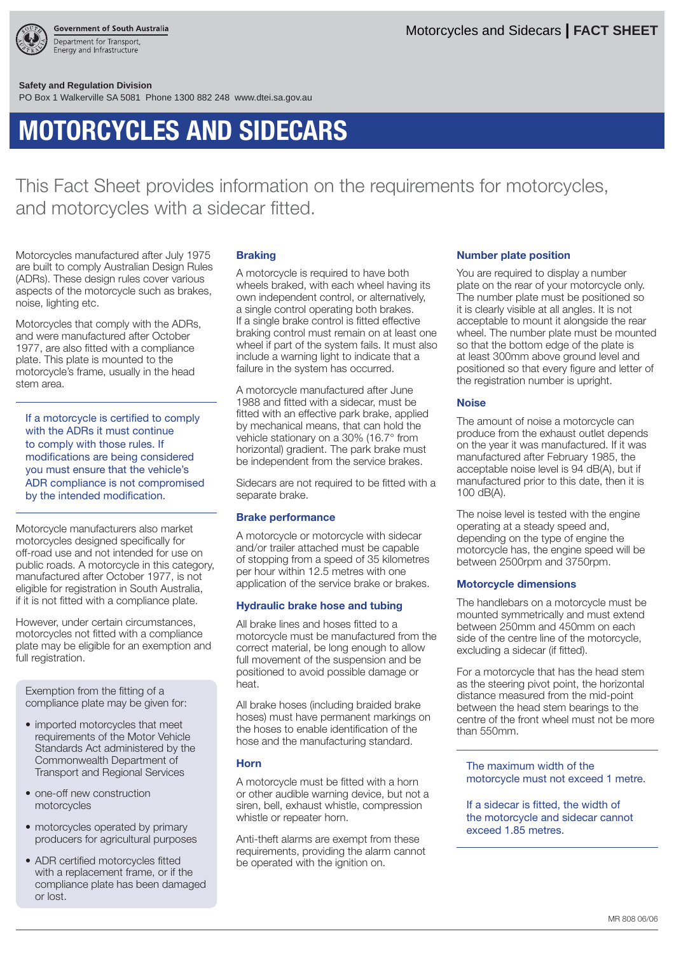

**Safety and Regulation Division** 

PO Box 1 Walkerville SA 5081 Phone 1300 882 248 www.dtei.sa.gov.au

# **MOTORCYCLES AND SIDECARS**

This Fact Sheet provides information on the requirements for motorcycles, and motorcycles with a sidecar fitted.

Motorcycles manufactured after July 1975 are built to comply Australian Design Rules (ADRs). These design rules cover various aspects of the motorcycle such as brakes, noise, lighting etc.

Motorcycles that comply with the ADRs, and were manufactured after October 1977, are also fitted with a compliance plate. This plate is mounted to the motorcycle's frame, usually in the head stem area.

If a motorcycle is certified to comply with the ADRs it must continue to comply with those rules. If modifications are being considered you must ensure that the vehicle's ADR compliance is not compromised by the intended modification.

Motorcycle manufacturers also market motorcycles designed specifically for off-road use and not intended for use on public roads. A motorcycle in this category, manufactured after October 1977, is not eligible for registration in South Australia, if it is not fitted with a compliance plate.

However, under certain circumstances, motorcycles not fitted with a compliance plate may be eligible for an exemption and full registration.

Exemption from the fitting of a compliance plate may be given for:

- imported motorcycles that meet requirements of the Motor Vehicle Standards Act administered by the Commonwealth Department of Transport and Regional Services
- one-off new construction motorcycles
- motorcycles operated by primary producers for agricultural purposes
- ADR certified motorcycles fitted with a replacement frame, or if the compliance plate has been damaged or lost.

## **Braking**

A motorcycle is required to have both wheels braked, with each wheel having its own independent control, or alternatively, a single control operating both brakes. If a single brake control is fitted effective braking control must remain on at least one wheel if part of the system fails. It must also include a warning light to indicate that a failure in the system has occurred.

A motorcycle manufactured after June 1988 and fitted with a sidecar, must be fitted with an effective park brake, applied by mechanical means, that can hold the vehicle stationary on a 30% (16.7° from horizontal) gradient. The park brake must be independent from the service brakes.

Sidecars are not required to be fitted with a separate brake.

#### **Brake performance**

A motorcycle or motorcycle with sidecar and/or trailer attached must be capable of stopping from a speed of 35 kilometres per hour within 12.5 metres with one application of the service brake or brakes.

## **Hydraulic brake hose and tubing**

All brake lines and hoses fitted to a motorcycle must be manufactured from the correct material, be long enough to allow full movement of the suspension and be positioned to avoid possible damage or heat.

All brake hoses (including braided brake hoses) must have permanent markings on the hoses to enable identification of the hose and the manufacturing standard.

## **Horn**

A motorcycle must be fitted with a horn or other audible warning device, but not a siren, bell, exhaust whistle, compression whistle or repeater horn.

Anti-theft alarms are exempt from these requirements, providing the alarm cannot be operated with the ignition on.

## **Number plate position**

You are required to display a number plate on the rear of your motorcycle only. The number plate must be positioned so it is clearly visible at all angles. It is not acceptable to mount it alongside the rear wheel. The number plate must be mounted so that the bottom edge of the plate is at least 300mm above ground level and positioned so that every figure and letter of the registration number is upright.

## **Noise**

The amount of noise a motorcycle can produce from the exhaust outlet depends on the year it was manufactured. If it was manufactured after February 1985, the acceptable noise level is 94 dB(A), but if manufactured prior to this date, then it is 100 dB(A).

The noise level is tested with the engine operating at a steady speed and, depending on the type of engine the motorcycle has, the engine speed will be between 2500rpm and 3750rpm.

## **Motorcycle dimensions**

The handlebars on a motorcycle must be mounted symmetrically and must extend between 250mm and 450mm on each side of the centre line of the motorcycle, excluding a sidecar (if fitted).

For a motorcycle that has the head stem as the steering pivot point, the horizontal distance measured from the mid-point between the head stem bearings to the centre of the front wheel must not be more than 550mm.

## The maximum width of the motorcycle must not exceed 1 metre.

If a sidecar is fitted, the width of the motorcycle and sidecar cannot exceed 1.85 metres.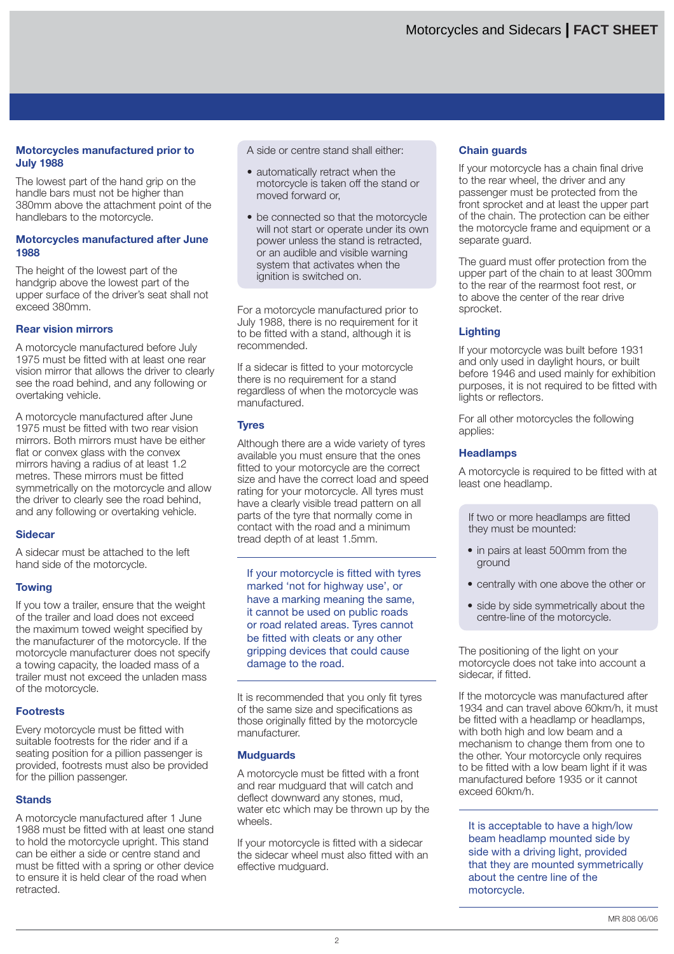# **Motorcycles manufactured prior to July 1988**

The lowest part of the hand grip on the handle bars must not be higher than 380mm above the attachment point of the handlebars to the motorcycle.

## **Motorcycles manufactured after June 1988**

The height of the lowest part of the handgrip above the lowest part of the upper surface of the driver's seat shall not exceed 380mm.

# **Rear vision mirrors**

A motorcycle manufactured before July 1975 must be fitted with at least one rear vision mirror that allows the driver to clearly see the road behind, and any following or overtaking vehicle.

A motorcycle manufactured after June 1975 must be fitted with two rear vision mirrors. Both mirrors must have be either flat or convex glass with the convex mirrors having a radius of at least 1.2 metres. These mirrors must be fitted symmetrically on the motorcycle and allow the driver to clearly see the road behind, and any following or overtaking vehicle.

## **Sidecar**

A sidecar must be attached to the left hand side of the motorcycle.

# **Towing**

If you tow a trailer, ensure that the weight of the trailer and load does not exceed the maximum towed weight specified by the manufacturer of the motorcycle. If the motorcycle manufacturer does not specify a towing capacity, the loaded mass of a trailer must not exceed the unladen mass of the motorcycle.

# **Footrests**

Every motorcycle must be fitted with suitable footrests for the rider and if a seating position for a pillion passenger is provided, footrests must also be provided for the pillion passenger.

# **Stands**

A motorcycle manufactured after 1 June 1988 must be fitted with at least one stand to hold the motorcycle upright. This stand can be either a side or centre stand and must be fitted with a spring or other device to ensure it is held clear of the road when retracted.

A side or centre stand shall either:

- automatically retract when the motorcycle is taken off the stand or moved forward or,
- be connected so that the motorcycle will not start or operate under its own power unless the stand is retracted, or an audible and visible warning system that activates when the ignition is switched on.

For a motorcycle manufactured prior to July 1988, there is no requirement for it to be fitted with a stand, although it is recommended.

If a sidecar is fitted to your motorcycle there is no requirement for a stand regardless of when the motorcycle was manufactured.

# **Tyres**

Although there are a wide variety of tyres available you must ensure that the ones fitted to your motorcycle are the correct size and have the correct load and speed rating for your motorcycle. All tyres must have a clearly visible tread pattern on all parts of the tyre that normally come in contact with the road and a minimum tread depth of at least 1.5mm.

If your motorcycle is fitted with tyres marked 'not for highway use', or have a marking meaning the same, it cannot be used on public roads or road related areas. Tyres cannot be fitted with cleats or any other gripping devices that could cause damage to the road.

It is recommended that you only fit tyres of the same size and specifications as those originally fitted by the motorcycle manufacturer.

# **Mudguards**

A motorcycle must be fitted with a front and rear mudguard that will catch and deflect downward any stones, mud, water etc which may be thrown up by the wheels.

If your motorcycle is fitted with a sidecar the sidecar wheel must also fitted with an effective mudguard.

# **Chain guards**

If your motorcycle has a chain final drive to the rear wheel, the driver and any passenger must be protected from the front sprocket and at least the upper part of the chain. The protection can be either the motorcycle frame and equipment or a separate guard.

The guard must offer protection from the upper part of the chain to at least 300mm to the rear of the rearmost foot rest, or to above the center of the rear drive sprocket.

# **Lighting**

If your motorcycle was built before 1931 and only used in daylight hours, or built before 1946 and used mainly for exhibition purposes, it is not required to be fitted with lights or reflectors.

For all other motorcycles the following applies:

# **Headlamps**

A motorcycle is required to be fitted with at least one headlamp.

If two or more headlamps are fitted they must be mounted:

- in pairs at least 500mm from the ground
- centrally with one above the other or
- side by side symmetrically about the centre-line of the motorcycle.

The positioning of the light on your motorcycle does not take into account a sidecar, if fitted.

If the motorcycle was manufactured after 1934 and can travel above 60km/h, it must be fitted with a headlamp or headlamps, with both high and low beam and a mechanism to change them from one to the other. Your motorcycle only requires to be fitted with a low beam light if it was manufactured before 1935 or it cannot exceed 60km/h.

It is acceptable to have a high/low beam headlamp mounted side by side with a driving light, provided that they are mounted symmetrically about the centre line of the motorcycle.